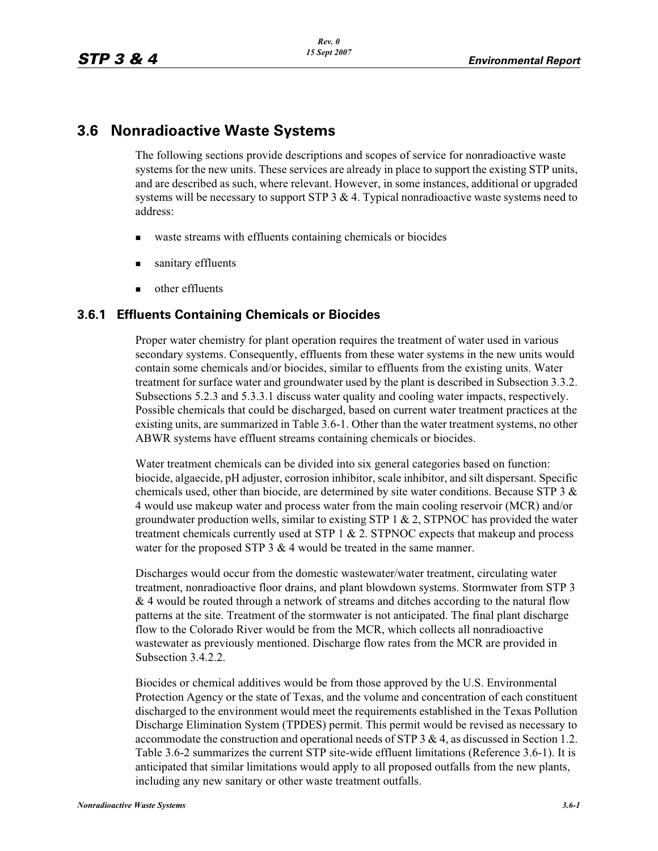# **3.6 Nonradioactive Waste Systems**

The following sections provide descriptions and scopes of service for nonradioactive waste systems for the new units. These services are already in place to support the existing STP units, and are described as such, where relevant. However, in some instances, additional or upgraded systems will be necessary to support STP  $3 \& 4$ . Typical nonradioactive waste systems need to address:

- waste streams with effluents containing chemicals or biocides
- sanitary effluents
- other effluents

## **3.6.1 Effluents Containing Chemicals or Biocides**

Proper water chemistry for plant operation requires the treatment of water used in various secondary systems. Consequently, effluents from these water systems in the new units would contain some chemicals and/or biocides, similar to effluents from the existing units. Water treatment for surface water and groundwater used by the plant is described in Subsection 3.3.2. Subsections 5.2.3 and 5.3.3.1 discuss water quality and cooling water impacts, respectively. Possible chemicals that could be discharged, based on current water treatment practices at the existing units, are summarized in Table 3.6-1. Other than the water treatment systems, no other ABWR systems have effluent streams containing chemicals or biocides.

Water treatment chemicals can be divided into six general categories based on function: biocide, algaecide, pH adjuster, corrosion inhibitor, scale inhibitor, and silt dispersant. Specific chemicals used, other than biocide, are determined by site water conditions. Because STP 3  $\&$ 4 would use makeup water and process water from the main cooling reservoir (MCR) and/or groundwater production wells, similar to existing STP 1  $\&$  2, STPNOC has provided the water treatment chemicals currently used at STP  $1 & 2$ . STPNOC expects that makeup and process water for the proposed STP  $3 \& 4$  would be treated in the same manner.

Discharges would occur from the domestic wastewater/water treatment, circulating water treatment, nonradioactive floor drains, and plant blowdown systems. Stormwater from STP 3 & 4 would be routed through a network of streams and ditches according to the natural flow patterns at the site. Treatment of the stormwater is not anticipated. The final plant discharge flow to the Colorado River would be from the MCR, which collects all nonradioactive wastewater as previously mentioned. Discharge flow rates from the MCR are provided in Subsection 3.4.2.2.

Biocides or chemical additives would be from those approved by the U.S. Environmental Protection Agency or the state of Texas, and the volume and concentration of each constituent discharged to the environment would meet the requirements established in the Texas Pollution Discharge Elimination System (TPDES) permit. This permit would be revised as necessary to accommodate the construction and operational needs of STP  $3 \& 4$ , as discussed in Section 1.2. Table 3.6-2 summarizes the current STP site-wide effluent limitations (Reference 3.6-1). It is anticipated that similar limitations would apply to all proposed outfalls from the new plants, including any new sanitary or other waste treatment outfalls.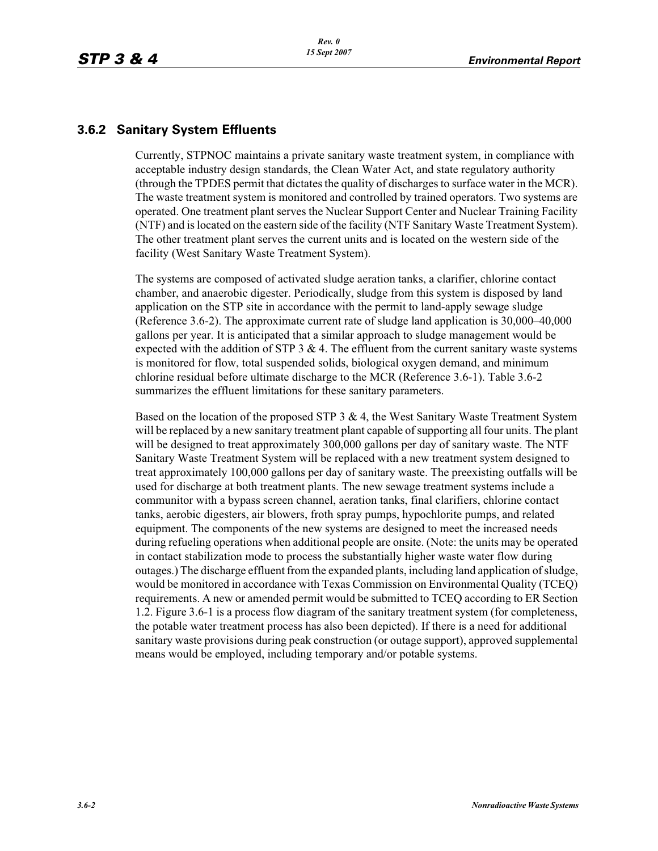## **3.6.2 Sanitary System Effluents**

Currently, STPNOC maintains a private sanitary waste treatment system, in compliance with acceptable industry design standards, the Clean Water Act, and state regulatory authority (through the TPDES permit that dictates the quality of discharges to surface water in the MCR). The waste treatment system is monitored and controlled by trained operators. Two systems are operated. One treatment plant serves the Nuclear Support Center and Nuclear Training Facility (NTF) and is located on the eastern side of the facility (NTF Sanitary Waste Treatment System). The other treatment plant serves the current units and is located on the western side of the facility (West Sanitary Waste Treatment System).

The systems are composed of activated sludge aeration tanks, a clarifier, chlorine contact chamber, and anaerobic digester. Periodically, sludge from this system is disposed by land application on the STP site in accordance with the permit to land-apply sewage sludge (Reference 3.6-2). The approximate current rate of sludge land application is 30,000–40,000 gallons per year. It is anticipated that a similar approach to sludge management would be expected with the addition of STP  $3 \& 4$ . The effluent from the current sanitary waste systems is monitored for flow, total suspended solids, biological oxygen demand, and minimum chlorine residual before ultimate discharge to the MCR (Reference 3.6-1). Table 3.6-2 summarizes the effluent limitations for these sanitary parameters.

Based on the location of the proposed STP  $3 \& 4$ , the West Sanitary Waste Treatment System will be replaced by a new sanitary treatment plant capable of supporting all four units. The plant will be designed to treat approximately 300,000 gallons per day of sanitary waste. The NTF Sanitary Waste Treatment System will be replaced with a new treatment system designed to treat approximately 100,000 gallons per day of sanitary waste. The preexisting outfalls will be used for discharge at both treatment plants. The new sewage treatment systems include a communitor with a bypass screen channel, aeration tanks, final clarifiers, chlorine contact tanks, aerobic digesters, air blowers, froth spray pumps, hypochlorite pumps, and related equipment. The components of the new systems are designed to meet the increased needs during refueling operations when additional people are onsite. (Note: the units may be operated in contact stabilization mode to process the substantially higher waste water flow during outages.) The discharge effluent from the expanded plants, including land application of sludge, would be monitored in accordance with Texas Commission on Environmental Quality (TCEQ) requirements. A new or amended permit would be submitted to TCEQ according to ER Section 1.2. Figure 3.6-1 is a process flow diagram of the sanitary treatment system (for completeness, the potable water treatment process has also been depicted). If there is a need for additional sanitary waste provisions during peak construction (or outage support), approved supplemental means would be employed, including temporary and/or potable systems.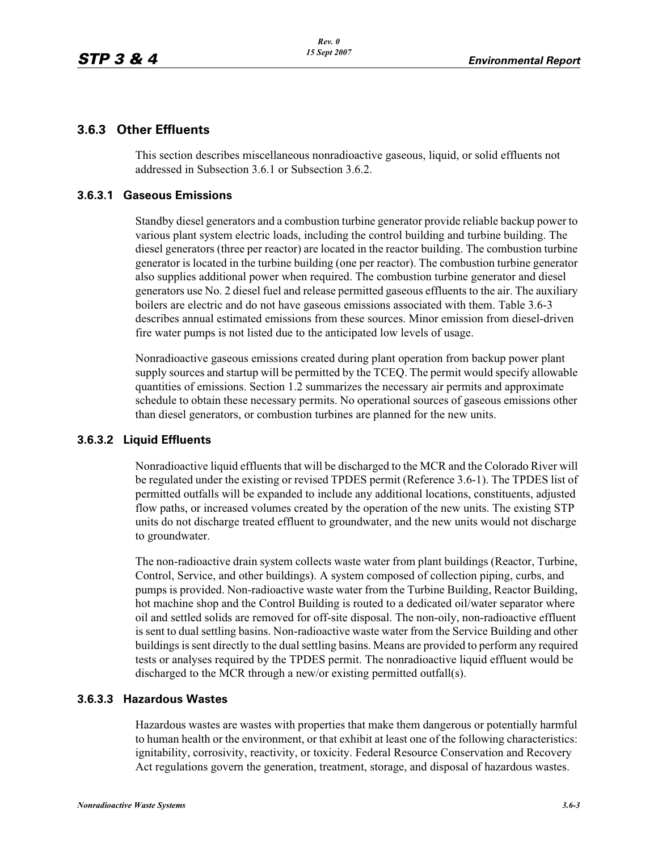## **3.6.3 Other Effluents**

This section describes miscellaneous nonradioactive gaseous, liquid, or solid effluents not addressed in Subsection 3.6.1 or Subsection 3.6.2.

### **3.6.3.1 Gaseous Emissions**

Standby diesel generators and a combustion turbine generator provide reliable backup power to various plant system electric loads, including the control building and turbine building. The diesel generators (three per reactor) are located in the reactor building. The combustion turbine generator is located in the turbine building (one per reactor). The combustion turbine generator also supplies additional power when required. The combustion turbine generator and diesel generators use No. 2 diesel fuel and release permitted gaseous effluents to the air. The auxiliary boilers are electric and do not have gaseous emissions associated with them. Table 3.6-3 describes annual estimated emissions from these sources. Minor emission from diesel-driven fire water pumps is not listed due to the anticipated low levels of usage.

Nonradioactive gaseous emissions created during plant operation from backup power plant supply sources and startup will be permitted by the TCEQ. The permit would specify allowable quantities of emissions. Section 1.2 summarizes the necessary air permits and approximate schedule to obtain these necessary permits. No operational sources of gaseous emissions other than diesel generators, or combustion turbines are planned for the new units.

### **3.6.3.2 Liquid Effluents**

Nonradioactive liquid effluents that will be discharged to the MCR and the Colorado River will be regulated under the existing or revised TPDES permit (Reference 3.6-1). The TPDES list of permitted outfalls will be expanded to include any additional locations, constituents, adjusted flow paths, or increased volumes created by the operation of the new units. The existing STP units do not discharge treated effluent to groundwater, and the new units would not discharge to groundwater.

The non-radioactive drain system collects waste water from plant buildings (Reactor, Turbine, Control, Service, and other buildings). A system composed of collection piping, curbs, and pumps is provided. Non-radioactive waste water from the Turbine Building, Reactor Building, hot machine shop and the Control Building is routed to a dedicated oil/water separator where oil and settled solids are removed for off-site disposal. The non-oily, non-radioactive effluent is sent to dual settling basins. Non-radioactive waste water from the Service Building and other buildings is sent directly to the dual settling basins. Means are provided to perform any required tests or analyses required by the TPDES permit. The nonradioactive liquid effluent would be discharged to the MCR through a new/or existing permitted outfall(s).

#### **3.6.3.3 Hazardous Wastes**

Hazardous wastes are wastes with properties that make them dangerous or potentially harmful to human health or the environment, or that exhibit at least one of the following characteristics: ignitability, corrosivity, reactivity, or toxicity. Federal Resource Conservation and Recovery Act regulations govern the generation, treatment, storage, and disposal of hazardous wastes.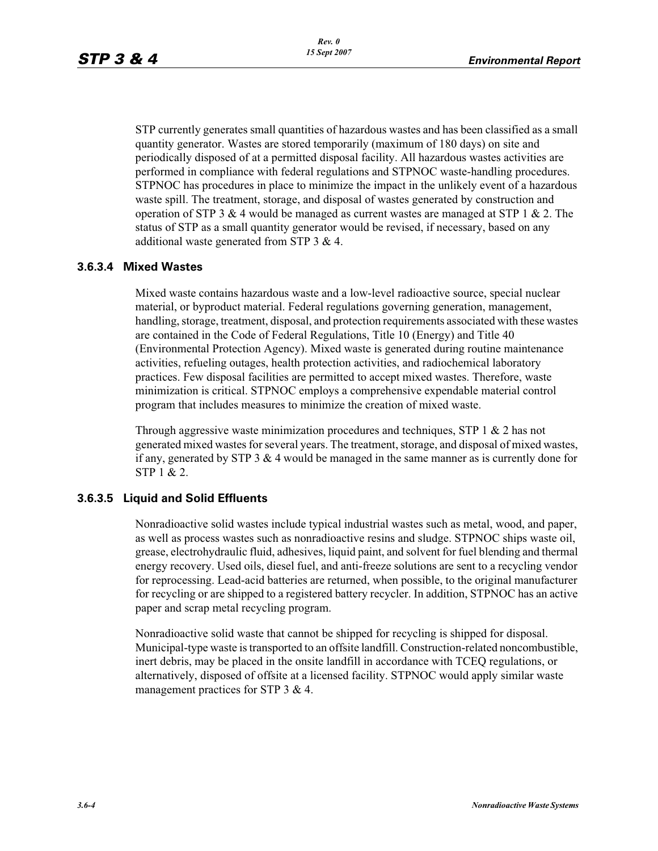STP currently generates small quantities of hazardous wastes and has been classified as a small quantity generator. Wastes are stored temporarily (maximum of 180 days) on site and periodically disposed of at a permitted disposal facility. All hazardous wastes activities are performed in compliance with federal regulations and STPNOC waste-handling procedures. STPNOC has procedures in place to minimize the impact in the unlikely event of a hazardous waste spill. The treatment, storage, and disposal of wastes generated by construction and operation of STP 3  $\&$  4 would be managed as current wastes are managed at STP 1  $\&$  2. The status of STP as a small quantity generator would be revised, if necessary, based on any additional waste generated from STP 3 & 4.

#### **3.6.3.4 Mixed Wastes**

Mixed waste contains hazardous waste and a low-level radioactive source, special nuclear material, or byproduct material. Federal regulations governing generation, management, handling, storage, treatment, disposal, and protection requirements associated with these wastes are contained in the Code of Federal Regulations, Title 10 (Energy) and Title 40 (Environmental Protection Agency). Mixed waste is generated during routine maintenance activities, refueling outages, health protection activities, and radiochemical laboratory practices. Few disposal facilities are permitted to accept mixed wastes. Therefore, waste minimization is critical. STPNOC employs a comprehensive expendable material control program that includes measures to minimize the creation of mixed waste.

Through aggressive waste minimization procedures and techniques, STP 1 & 2 has not generated mixed wastes for several years. The treatment, storage, and disposal of mixed wastes, if any, generated by STP  $3 \& 4$  would be managed in the same manner as is currently done for STP 1 & 2.

#### **3.6.3.5 Liquid and Solid Effluents**

Nonradioactive solid wastes include typical industrial wastes such as metal, wood, and paper, as well as process wastes such as nonradioactive resins and sludge. STPNOC ships waste oil, grease, electrohydraulic fluid, adhesives, liquid paint, and solvent for fuel blending and thermal energy recovery. Used oils, diesel fuel, and anti-freeze solutions are sent to a recycling vendor for reprocessing. Lead-acid batteries are returned, when possible, to the original manufacturer for recycling or are shipped to a registered battery recycler. In addition, STPNOC has an active paper and scrap metal recycling program.

Nonradioactive solid waste that cannot be shipped for recycling is shipped for disposal. Municipal-type waste is transported to an offsite landfill. Construction-related noncombustible, inert debris, may be placed in the onsite landfill in accordance with TCEQ regulations, or alternatively, disposed of offsite at a licensed facility. STPNOC would apply similar waste management practices for STP 3 & 4.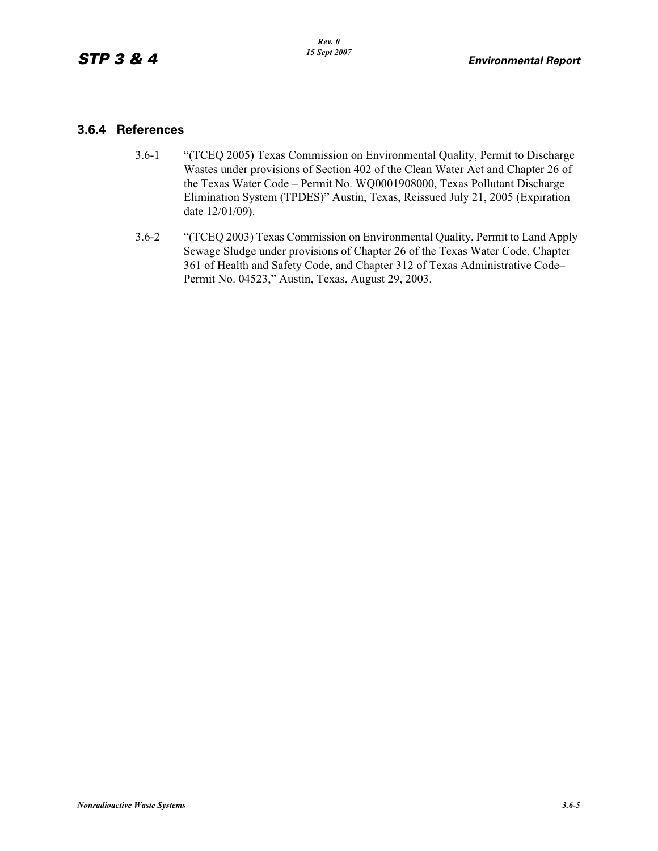### **3.6.4 References**

- 3.6-1 "(TCEQ 2005) Texas Commission on Environmental Quality, Permit to Discharge Wastes under provisions of Section 402 of the Clean Water Act and Chapter 26 of the Texas Water Code – Permit No. WQ0001908000, Texas Pollutant Discharge Elimination System (TPDES)" Austin, Texas, Reissued July 21, 2005 (Expiration date 12/01/09).
- 3.6-2 "(TCEQ 2003) Texas Commission on Environmental Quality, Permit to Land Apply Sewage Sludge under provisions of Chapter 26 of the Texas Water Code, Chapter 361 of Health and Safety Code, and Chapter 312 of Texas Administrative Code– Permit No. 04523," Austin, Texas, August 29, 2003.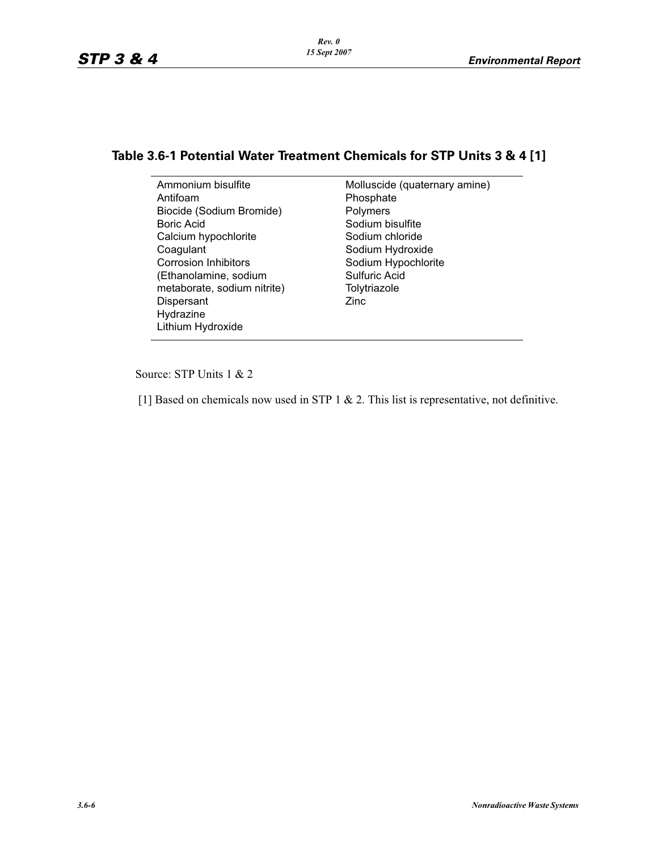# **Table 3.6-1 Potential Water Treatment Chemicals for STP Units 3 & 4 [1]**

Ammonium bisulfite Antifoam Biocide (Sodium Bromide) Boric Acid Calcium hypochlorite **Coagulant** Corrosion Inhibitors (Ethanolamine, sodium metaborate, sodium nitrite) **Dispersant** Hydrazine Lithium Hydroxide

Molluscide (quaternary amine) Phosphate Polymers Sodium bisulfite Sodium chloride Sodium Hydroxide Sodium Hypochlorite Sulfuric Acid Tolytriazole Zinc

Source: STP Units 1 & 2

[1] Based on chemicals now used in STP 1 & 2. This list is representative, not definitive.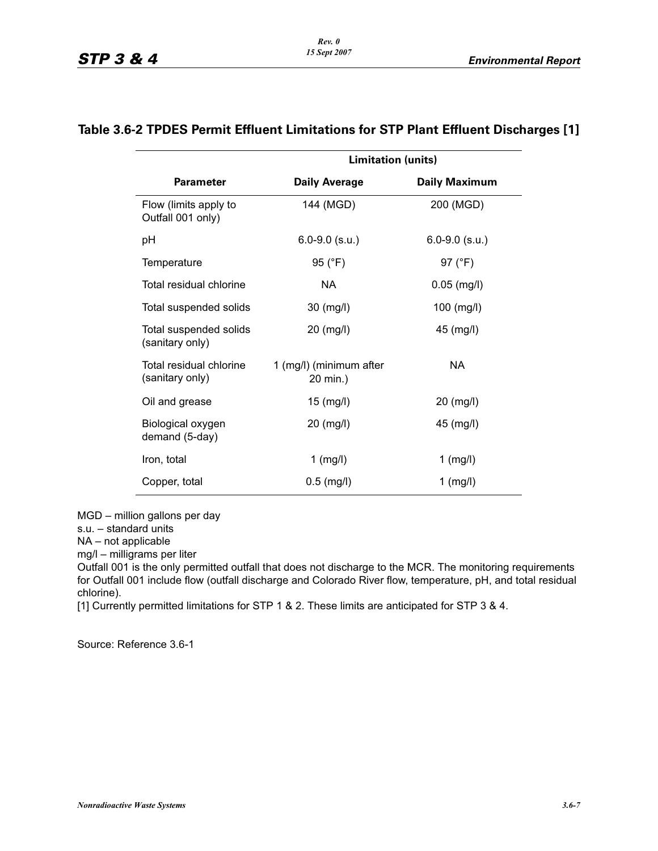|                                            | <b>Limitation (units)</b>           |                      |
|--------------------------------------------|-------------------------------------|----------------------|
| <b>Parameter</b>                           | <b>Daily Average</b>                | <b>Daily Maximum</b> |
| Flow (limits apply to<br>Outfall 001 only) | 144 (MGD)                           | 200 (MGD)            |
| рH                                         | $6.0 - 9.0$ (s.u.)                  | $6.0 - 9.0$ (s.u.)   |
| Temperature                                | 95 (°F)                             | 97 $(^{\circ}F)$     |
| Total residual chlorine                    | <b>NA</b>                           | $0.05$ (mg/l)        |
| Total suspended solids                     | 30 (mg/l)                           | $100$ (mg/l)         |
| Total suspended solids<br>(sanitary only)  | $20 \ (mg/l)$                       | $45 \ (mg/l)$        |
| Total residual chlorine<br>(sanitary only) | 1 (mg/l) (minimum after<br>20 min.) | NA.                  |
| Oil and grease                             | $15$ (mg/l)                         | 20 (mg/l)            |
| Biological oxygen<br>demand (5-day)        | 20 (mg/l)                           | 45 (mg/l)            |
| Iron, total                                | $1$ (mg/l)                          | $1$ (mg/l)           |
| Copper, total                              | $0.5$ (mg/l)                        | $1$ (mg/l)           |

# **Table 3.6-2 TPDES Permit Effluent Limitations for STP Plant Effluent Discharges [1]**

MGD – million gallons per day

s.u. – standard units

NA – not applicable

mg/l – milligrams per liter

Outfall 001 is the only permitted outfall that does not discharge to the MCR. The monitoring requirements for Outfall 001 include flow (outfall discharge and Colorado River flow, temperature, pH, and total residual chlorine).

[1] Currently permitted limitations for STP 1 & 2. These limits are anticipated for STP 3 & 4.

Source: Reference 3.6-1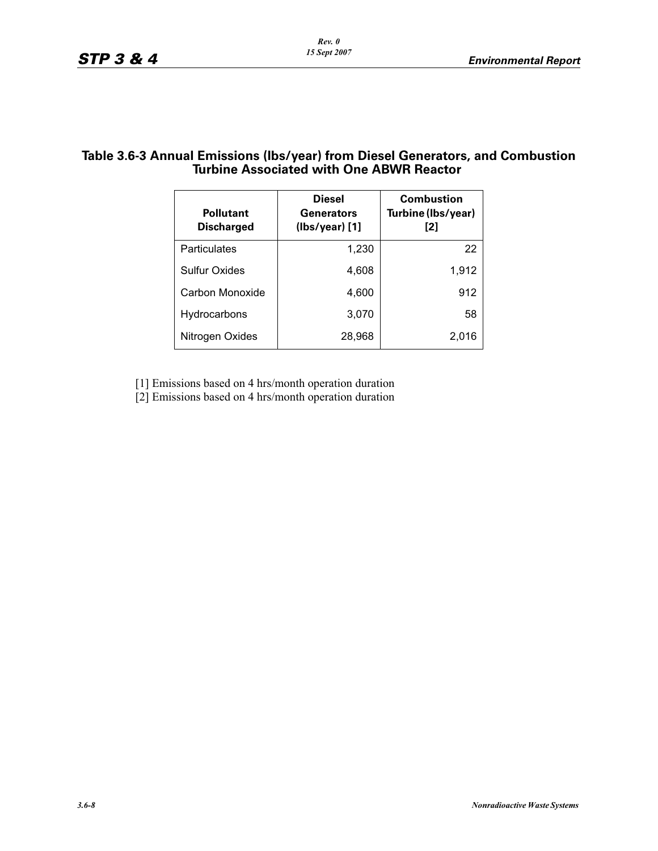## **Table 3.6-3 Annual Emissions (lbs/year) from Diesel Generators, and Combustion Turbine Associated with One ABWR Reactor**

| <b>Pollutant</b><br><b>Discharged</b> | <b>Diesel</b><br><b>Generators</b><br>$(lbs/year)$ [1] | <b>Combustion</b><br>Turbine (Ibs/year)<br>[2] |
|---------------------------------------|--------------------------------------------------------|------------------------------------------------|
| Particulates                          | 1,230                                                  | 22                                             |
| <b>Sulfur Oxides</b>                  | 4,608                                                  | 1,912                                          |
| Carbon Monoxide                       | 4,600                                                  | 912                                            |
| Hydrocarbons                          | 3,070                                                  | 58                                             |
| Nitrogen Oxides                       | 28,968                                                 | 2.016                                          |

[1] Emissions based on 4 hrs/month operation duration

[2] Emissions based on 4 hrs/month operation duration